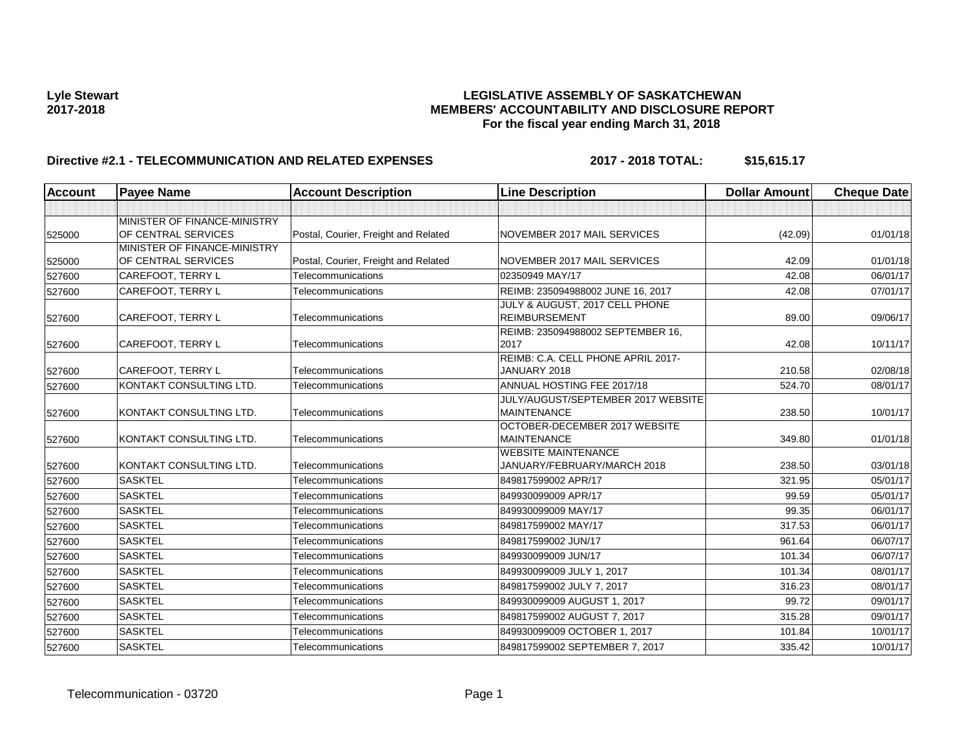# Lyle Stewart<br>LEGISLATIVE ASSEMBLY OF SASKATCHEWAN<br>MEMBERS' ACCOUNTABILITY AND DISCLOSURE REF **2017-2018 MEMBERS' ACCOUNTABILITY AND DISCLOSURE REPORT For the fiscal year ending March 31, 2018**

# Directive #2.1 - TELECOMMUNICATION AND RELATED EXPENSES 2017 - 2018 TOTAL: \$15,615.17

| MINISTER OF FINANCE-MINISTRY                                                                                         |         |          |
|----------------------------------------------------------------------------------------------------------------------|---------|----------|
| OF CENTRAL SERVICES<br>Postal, Courier, Freight and Related<br>NOVEMBER 2017 MAIL SERVICES<br>525000                 | (42.09) | 01/01/18 |
| MINISTER OF FINANCE-MINISTRY                                                                                         |         |          |
| OF CENTRAL SERVICES<br>Postal, Courier, Freight and Related<br>NOVEMBER 2017 MAIL SERVICES<br>525000                 | 42.09   | 01/01/18 |
| <b>CAREFOOT, TERRY L</b><br>Telecommunications<br>02350949 MAY/17<br>527600                                          | 42.08   | 06/01/17 |
| CAREFOOT, TERRY L<br>REIMB: 235094988002 JUNE 16, 2017<br>Telecommunications<br>527600                               | 42.08   | 07/01/17 |
| JULY & AUGUST, 2017 CELL PHONE                                                                                       |         |          |
| <b>REIMBURSEMENT</b><br>CAREFOOT, TERRY L<br>527600<br>Telecommunications                                            | 89.00   | 09/06/17 |
| REIMB: 235094988002 SEPTEMBER 16,                                                                                    |         |          |
| <b>CAREFOOT, TERRY L</b><br>2017<br>Telecommunications<br>527600                                                     | 42.08   | 10/11/17 |
| REIMB: C.A. CELL PHONE APRIL 2017-                                                                                   |         |          |
| CAREFOOT, TERRY L<br>Telecommunications<br>JANUARY 2018<br>527600                                                    | 210.58  | 02/08/18 |
| KONTAKT CONSULTING LTD.<br>ANNUAL HOSTING FEE 2017/18<br>Telecommunications<br>527600                                | 524.70  | 08/01/17 |
| JULY/AUGUST/SEPTEMBER 2017 WEBSITE                                                                                   |         |          |
| KONTAKT CONSULTING LTD.<br>Telecommunications<br><b>MAINTENANCE</b><br>527600                                        | 238.50  | 10/01/17 |
| OCTOBER-DECEMBER 2017 WEBSITE                                                                                        |         |          |
| KONTAKT CONSULTING LTD.<br><b>MAINTENANCE</b><br>Telecommunications<br>527600                                        | 349.80  | 01/01/18 |
| <b>WEBSITE MAINTENANCE</b><br>KONTAKT CONSULTING LTD.<br>Telecommunications<br>JANUARY/FEBRUARY/MARCH 2018<br>527600 | 238.50  | 03/01/18 |
| <b>SASKTEL</b><br>Telecommunications<br>849817599002 APR/17                                                          | 321.95  | 05/01/17 |
| 527600                                                                                                               |         |          |
| <b>SASKTEL</b><br>Telecommunications<br>849930099009 APR/17<br>527600                                                | 99.59   | 05/01/17 |
| <b>SASKTEL</b><br>849930099009 MAY/17<br>Telecommunications<br>527600                                                | 99.35   | 06/01/17 |
| <b>SASKTEL</b><br>Telecommunications<br>849817599002 MAY/17<br>527600                                                | 317.53  | 06/01/17 |
| <b>SASKTEL</b><br>849817599002 JUN/17<br>Telecommunications<br>527600                                                | 961.64  | 06/07/17 |
| <b>SASKTEL</b><br>849930099009 JUN/17<br>Telecommunications<br>527600                                                | 101.34  | 06/07/17 |
| <b>SASKTEL</b><br>Telecommunications<br>849930099009 JULY 1, 2017<br>527600                                          | 101.34  | 08/01/17 |
| <b>SASKTEL</b><br>Telecommunications<br>849817599002 JULY 7, 2017<br>527600                                          | 316.23  | 08/01/17 |
| <b>SASKTEL</b><br>Telecommunications<br>849930099009 AUGUST 1, 2017<br>527600                                        | 99.72   | 09/01/17 |
| <b>SASKTEL</b><br>849817599002 AUGUST 7, 2017<br>Telecommunications<br>527600                                        | 315.28  | 09/01/17 |
| <b>SASKTEL</b><br>849930099009 OCTOBER 1, 2017<br>Telecommunications<br>527600                                       | 101.84  | 10/01/17 |
| <b>SASKTEL</b><br>849817599002 SEPTEMBER 7, 2017<br>Telecommunications<br>527600                                     | 335.42  | 10/01/17 |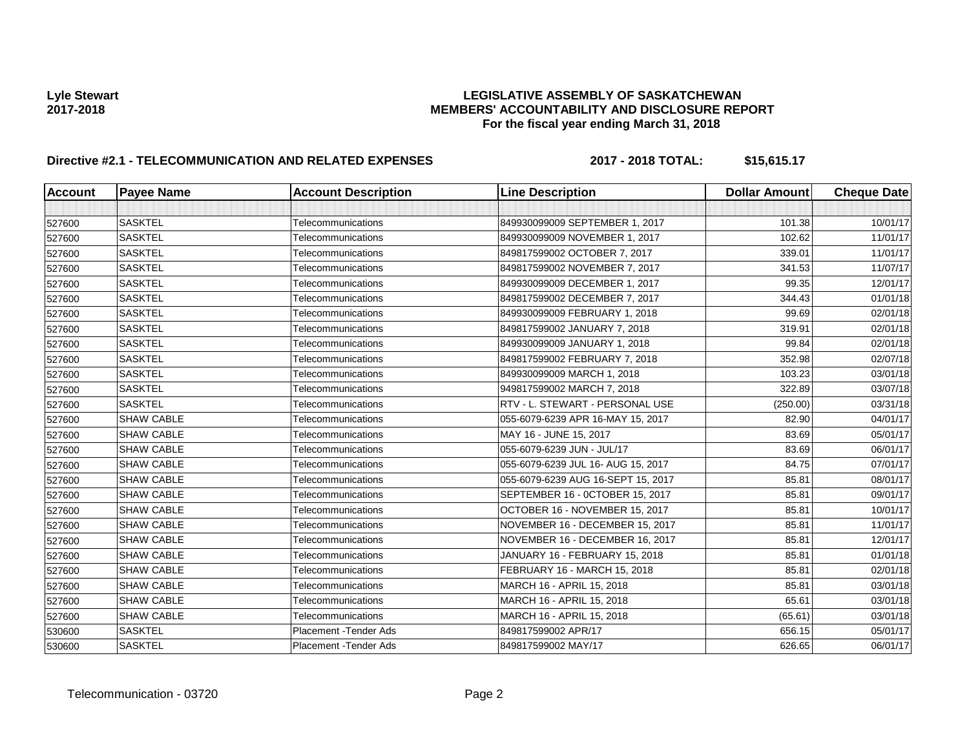# Lyle Stewart<br>LEGISLATIVE ASSEMBLY OF SASKATCHEWAN<br>MEMBERS' ACCOUNTABILITY AND DISCLOSURE REF **2017-2018 MEMBERS' ACCOUNTABILITY AND DISCLOSURE REPORT For the fiscal year ending March 31, 2018**

# Directive #2.1 - TELECOMMUNICATION AND RELATED EXPENSES 2017 - 2018 TOTAL: \$15,615.17

| <b>Account</b> | <b>Payee Name</b> | <b>Account Description</b>    | <b>Line Description</b>            | <b>Dollar Amount</b> | <b>Cheque Date</b> |
|----------------|-------------------|-------------------------------|------------------------------------|----------------------|--------------------|
|                |                   |                               |                                    |                      |                    |
| 527600         | <b>SASKTEL</b>    | Telecommunications            | 849930099009 SEPTEMBER 1, 2017     | 101.38               | 10/01/17           |
| 527600         | <b>SASKTEL</b>    | Telecommunications            | 849930099009 NOVEMBER 1, 2017      | 102.62               | 11/01/17           |
| 527600         | <b>SASKTEL</b>    | Telecommunications            | 849817599002 OCTOBER 7, 2017       | 339.01               | 11/01/17           |
| 527600         | <b>SASKTEL</b>    | Telecommunications            | 849817599002 NOVEMBER 7, 2017      | 341.53               | 11/07/17           |
| 527600         | <b>SASKTEL</b>    | Telecommunications            | 849930099009 DECEMBER 1, 2017      | 99.35                | 12/01/17           |
| 527600         | <b>SASKTEL</b>    | Telecommunications            | 849817599002 DECEMBER 7, 2017      | 344.43               | 01/01/18           |
| 527600         | <b>SASKTEL</b>    | Telecommunications            | 849930099009 FEBRUARY 1, 2018      | 99.69                | 02/01/18           |
| 527600         | <b>SASKTEL</b>    | Telecommunications            | 849817599002 JANUARY 7, 2018       | 319.91               | 02/01/18           |
| 527600         | <b>SASKTEL</b>    | Telecommunications            | 849930099009 JANUARY 1, 2018       | 99.84                | 02/01/18           |
| 527600         | <b>SASKTEL</b>    | Telecommunications            | 849817599002 FEBRUARY 7, 2018      | 352.98               | 02/07/18           |
| 527600         | <b>SASKTEL</b>    | Telecommunications            | 849930099009 MARCH 1, 2018         | 103.23               | 03/01/18           |
| 527600         | <b>SASKTEL</b>    | Telecommunications            | 949817599002 MARCH 7, 2018         | 322.89               | 03/07/18           |
| 527600         | <b>SASKTEL</b>    | Telecommunications            | RTV - L. STEWART - PERSONAL USE    | (250.00)             | 03/31/18           |
| 527600         | <b>SHAW CABLE</b> | Telecommunications            | 055-6079-6239 APR 16-MAY 15, 2017  | 82.90                | 04/01/17           |
| 527600         | <b>SHAW CABLE</b> | Telecommunications            | MAY 16 - JUNE 15, 2017             | 83.69                | 05/01/17           |
| 527600         | <b>SHAW CABLE</b> | Telecommunications            | 055-6079-6239 JUN - JUL/17         | 83.69                | 06/01/17           |
| 527600         | <b>SHAW CABLE</b> | Telecommunications            | 055-6079-6239 JUL 16- AUG 15, 2017 | 84.75                | 07/01/17           |
| 527600         | <b>SHAW CABLE</b> | Telecommunications            | 055-6079-6239 AUG 16-SEPT 15, 2017 | 85.81                | 08/01/17           |
| 527600         | <b>SHAW CABLE</b> | Telecommunications            | SEPTEMBER 16 - 0CTOBER 15, 2017    | 85.81                | 09/01/17           |
| 527600         | <b>SHAW CABLE</b> | Telecommunications            | OCTOBER 16 - NOVEMBER 15, 2017     | 85.81                | 10/01/17           |
| 527600         | <b>SHAW CABLE</b> | Telecommunications            | NOVEMBER 16 - DECEMBER 15, 2017    | 85.81                | 11/01/17           |
| 527600         | <b>SHAW CABLE</b> | Telecommunications            | NOVEMBER 16 - DECEMBER 16, 2017    | 85.81                | 12/01/17           |
| 527600         | <b>SHAW CABLE</b> | Telecommunications            | JANUARY 16 - FEBRUARY 15, 2018     | 85.81                | 01/01/18           |
| 527600         | <b>SHAW CABLE</b> | Telecommunications            | FEBRUARY 16 - MARCH 15, 2018       | 85.81                | 02/01/18           |
| 527600         | <b>SHAW CABLE</b> | Telecommunications            | MARCH 16 - APRIL 15, 2018          | 85.81                | 03/01/18           |
| 527600         | <b>SHAW CABLE</b> | Telecommunications            | MARCH 16 - APRIL 15, 2018          | 65.61                | 03/01/18           |
| 527600         | <b>SHAW CABLE</b> | Telecommunications            | MARCH 16 - APRIL 15, 2018          | (65.61)              | 03/01/18           |
| 530600         | <b>SASKTEL</b>    | <b>Placement - Tender Ads</b> | 849817599002 APR/17                | 656.15               | 05/01/17           |
| 530600         | <b>SASKTEL</b>    | Placement - Tender Ads        | 849817599002 MAY/17                | 626.65               | 06/01/17           |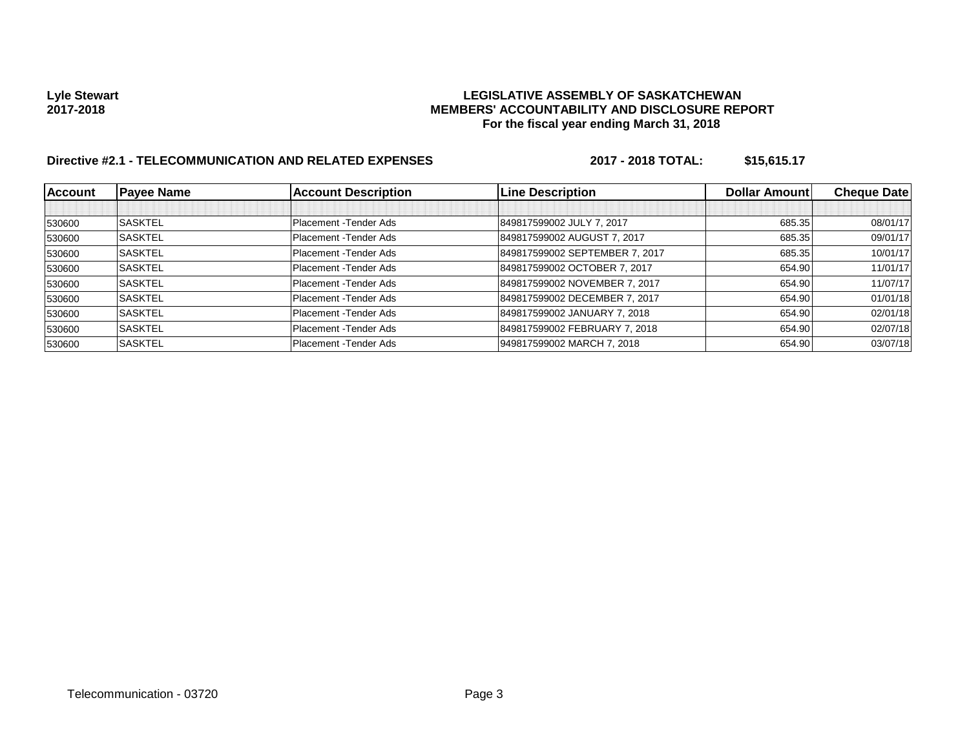# Lyle Stewart<br>LEGISLATIVE ASSEMBLY OF SASKATCHEWAN<br>MEMBERS' ACCOUNTABILITY AND DISCLOSURE REF **2017-2018 MEMBERS' ACCOUNTABILITY AND DISCLOSURE REPORT For the fiscal year ending March 31, 2018**

# Directive #2.1 - TELECOMMUNICATION AND RELATED EXPENSES 2017 - 2018 TOTAL: \$15,615.17

| <b>Account</b> | <b>Payee Name</b> | <b>Account Description</b> | <b>Line Description</b>        | <b>Dollar Amountl</b> | <b>Cheque Date</b> |
|----------------|-------------------|----------------------------|--------------------------------|-----------------------|--------------------|
|                |                   |                            |                                |                       |                    |
| 530600         | <b>SASKTEL</b>    | Placement - Tender Ads     | 849817599002 JULY 7, 2017      | 685.35                | 08/01/17           |
| 530600         | <b>SASKTEL</b>    | Placement - Tender Ads     | 849817599002 AUGUST 7, 2017    | 685.35                | 09/01/17           |
| 530600         | <b>SASKTEL</b>    | Placement - Tender Ads     | 849817599002 SEPTEMBER 7, 2017 | 685.35                | 10/01/17           |
| 530600         | <b>SASKTEL</b>    | Placement - Tender Ads     | 849817599002 OCTOBER 7, 2017   | 654.90                | 11/01/17           |
| 530600         | <b>SASKTEL</b>    | Placement - Tender Ads     | 849817599002 NOVEMBER 7, 2017  | 654.90                | 11/07/17           |
| 530600         | <b>SASKTEL</b>    | Placement - Tender Ads     | 849817599002 DECEMBER 7, 2017  | 654.90                | 01/01/18           |
| 530600         | <b>SASKTEL</b>    | Placement - Tender Ads     | 849817599002 JANUARY 7, 2018   | 654.90                | 02/01/18           |
| 530600         | <b>SASKTEL</b>    | Placement - Tender Ads     | 849817599002 FEBRUARY 7, 2018  | 654.90                | 02/07/18           |
| 530600         | <b>SASKTEL</b>    | Placement - Tender Ads     | 949817599002 MARCH 7, 2018     | 654.90                | 03/07/18           |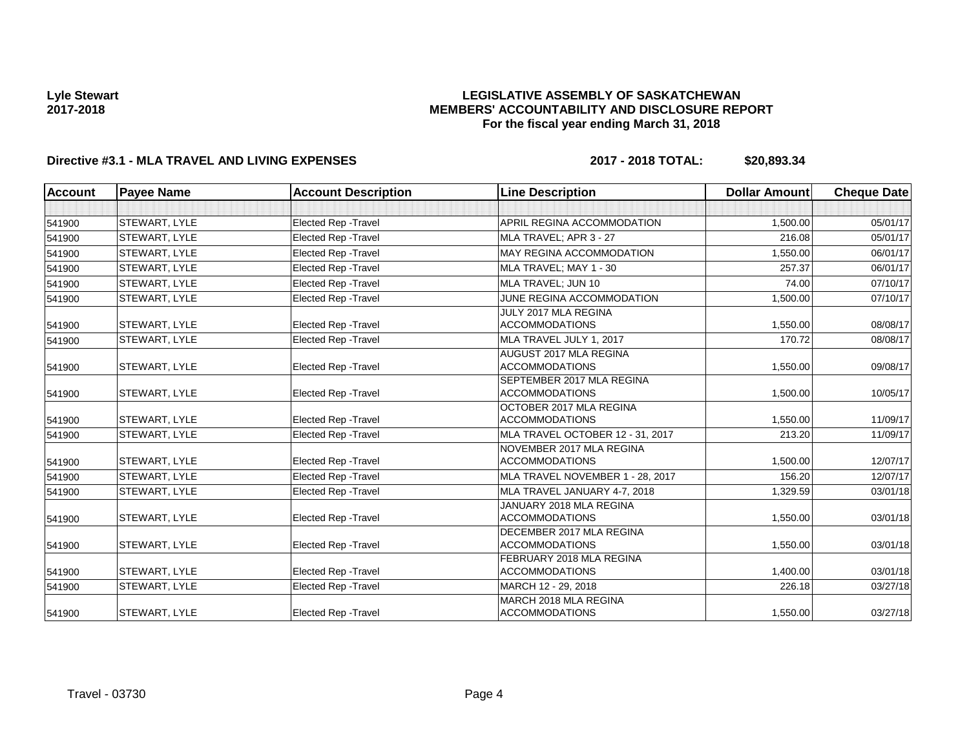## **LEGISLATIVE ASSEMBLY OF SASKATCHEWAN MEMBERS' ACCOUNTABILITY AND DISCLOSURE REPORT For the fiscal year ending March 31, 2018**

# **Directive #3.1 - MLA TRAVEL AND LIVING EXPENSES 2017 - 2018 TOTAL: \$20,893.34**

| <b>Account</b> | <b>Payee Name</b>    | <b>Account Description</b>  | <b>Line Description</b>                            | <b>Dollar Amount</b> | <b>Cheque Date</b> |
|----------------|----------------------|-----------------------------|----------------------------------------------------|----------------------|--------------------|
|                |                      |                             |                                                    |                      |                    |
| 541900         | <b>STEWART, LYLE</b> | <b>Elected Rep - Travel</b> | APRIL REGINA ACCOMMODATION                         | 1.500.00             | 05/01/17           |
| 541900         | <b>STEWART, LYLE</b> | Elected Rep - Travel        | MLA TRAVEL; APR 3 - 27                             | 216.08               | 05/01/17           |
| 541900         | <b>STEWART, LYLE</b> | <b>Elected Rep - Travel</b> | MAY REGINA ACCOMMODATION                           | 1,550.00             | 06/01/17           |
| 541900         | <b>STEWART, LYLE</b> | Elected Rep - Travel        | MLA TRAVEL; MAY 1 - 30                             | 257.37               | 06/01/17           |
| 541900         | <b>STEWART, LYLE</b> | <b>Elected Rep - Travel</b> | MLA TRAVEL: JUN 10                                 | 74.00                | 07/10/17           |
| 541900         | <b>STEWART, LYLE</b> | Elected Rep - Travel        | JUNE REGINA ACCOMMODATION                          | 1,500.00             | 07/10/17           |
| 541900         | <b>STEWART, LYLE</b> | Elected Rep - Travel        | JULY 2017 MLA REGINA<br><b>ACCOMMODATIONS</b>      | 1,550.00             | 08/08/17           |
| 541900         | <b>STEWART, LYLE</b> | <b>Elected Rep - Travel</b> | MLA TRAVEL JULY 1, 2017                            | 170.72               | 08/08/17           |
| 541900         | <b>STEWART, LYLE</b> | <b>Elected Rep - Travel</b> | AUGUST 2017 MLA REGINA<br><b>ACCOMMODATIONS</b>    | 1,550.00             | 09/08/17           |
| 541900         | <b>STEWART, LYLE</b> | <b>Elected Rep - Travel</b> | SEPTEMBER 2017 MLA REGINA<br><b>ACCOMMODATIONS</b> | 1,500.00             | 10/05/17           |
| 541900         | <b>STEWART, LYLE</b> | Elected Rep - Travel        | OCTOBER 2017 MLA REGINA<br><b>ACCOMMODATIONS</b>   | 1.550.00             | 11/09/17           |
| 541900         | <b>STEWART, LYLE</b> | Elected Rep - Travel        | MLA TRAVEL OCTOBER 12 - 31, 2017                   | 213.20               | 11/09/17           |
| 541900         | <b>STEWART, LYLE</b> | Elected Rep - Travel        | NOVEMBER 2017 MLA REGINA<br><b>ACCOMMODATIONS</b>  | 1,500.00             | 12/07/17           |
| 541900         | <b>STEWART, LYLE</b> | <b>Elected Rep - Travel</b> | MLA TRAVEL NOVEMBER 1 - 28, 2017                   | 156.20               | 12/07/17           |
| 541900         | <b>STEWART, LYLE</b> | Elected Rep - Travel        | MLA TRAVEL JANUARY 4-7, 2018                       | 1,329.59             | 03/01/18           |
| 541900         | <b>STEWART, LYLE</b> | <b>Elected Rep - Travel</b> | JANUARY 2018 MLA REGINA<br><b>ACCOMMODATIONS</b>   | 1,550.00             | 03/01/18           |
| 541900         | <b>STEWART, LYLE</b> | Elected Rep - Travel        | DECEMBER 2017 MLA REGINA<br><b>ACCOMMODATIONS</b>  | 1,550.00             | 03/01/18           |
| 541900         | <b>STEWART, LYLE</b> | Elected Rep - Travel        | FEBRUARY 2018 MLA REGINA<br><b>ACCOMMODATIONS</b>  | 1,400.00             | 03/01/18           |
| 541900         | <b>STEWART, LYLE</b> | <b>Elected Rep - Travel</b> | MARCH 12 - 29, 2018                                | 226.18               | 03/27/18           |
| 541900         | <b>STEWART, LYLE</b> | <b>Elected Rep - Travel</b> | MARCH 2018 MLA REGINA<br><b>ACCOMMODATIONS</b>     | 1,550.00             | 03/27/18           |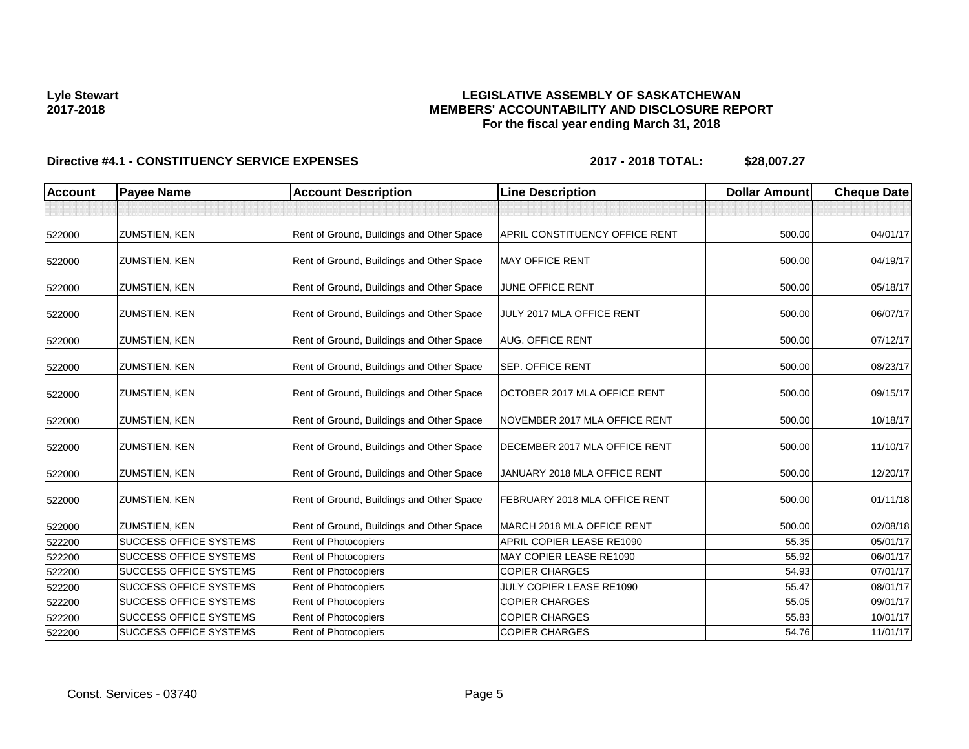## **LEGISLATIVE ASSEMBLY OF SASKATCHEWAN MEMBERS' ACCOUNTABILITY AND DISCLOSURE REPORT For the fiscal year ending March 31, 2018**

| <b>Account</b> | <b>Payee Name</b>             | <b>Account Description</b>                | <b>Line Description</b>        | <b>Dollar Amount</b> | <b>Cheque Date</b> |
|----------------|-------------------------------|-------------------------------------------|--------------------------------|----------------------|--------------------|
|                |                               |                                           |                                |                      |                    |
| 522000         | ZUMSTIEN, KEN                 | Rent of Ground, Buildings and Other Space | APRIL CONSTITUENCY OFFICE RENT | 500.00               | 04/01/17           |
| 522000         | <b>ZUMSTIEN, KEN</b>          | Rent of Ground, Buildings and Other Space | <b>MAY OFFICE RENT</b>         | 500.00               | 04/19/17           |
| 522000         | <b>ZUMSTIEN, KEN</b>          | Rent of Ground, Buildings and Other Space | <b>JUNE OFFICE RENT</b>        | 500.00               | 05/18/17           |
| 522000         | <b>ZUMSTIEN, KEN</b>          | Rent of Ground, Buildings and Other Space | JULY 2017 MLA OFFICE RENT      | 500.00               | 06/07/17           |
| 522000         | <b>ZUMSTIEN, KEN</b>          | Rent of Ground, Buildings and Other Space | AUG. OFFICE RENT               | 500.00               | 07/12/17           |
| 522000         | <b>ZUMSTIEN, KEN</b>          | Rent of Ground, Buildings and Other Space | <b>SEP. OFFICE RENT</b>        | 500.00               | 08/23/17           |
| 522000         | <b>ZUMSTIEN, KEN</b>          | Rent of Ground, Buildings and Other Space | OCTOBER 2017 MLA OFFICE RENT   | 500.00               | 09/15/17           |
| 522000         | <b>ZUMSTIEN, KEN</b>          | Rent of Ground, Buildings and Other Space | NOVEMBER 2017 MLA OFFICE RENT  | 500.00               | 10/18/17           |
| 522000         | <b>ZUMSTIEN, KEN</b>          | Rent of Ground, Buildings and Other Space | DECEMBER 2017 MLA OFFICE RENT  | 500.00               | 11/10/17           |
| 522000         | ZUMSTIEN, KEN                 | Rent of Ground, Buildings and Other Space | JANUARY 2018 MLA OFFICE RENT   | 500.00               | 12/20/17           |
| 522000         | <b>ZUMSTIEN, KEN</b>          | Rent of Ground, Buildings and Other Space | FEBRUARY 2018 MLA OFFICE RENT  | 500.00               | 01/11/18           |
| 522000         | <b>ZUMSTIEN, KEN</b>          | Rent of Ground, Buildings and Other Space | MARCH 2018 MLA OFFICE RENT     | 500.00               | 02/08/18           |
| 522200         | SUCCESS OFFICE SYSTEMS        | Rent of Photocopiers                      | APRIL COPIER LEASE RE1090      | 55.35                | 05/01/17           |
| 522200         | SUCCESS OFFICE SYSTEMS        | Rent of Photocopiers                      | MAY COPIER LEASE RE1090        | 55.92                | 06/01/17           |
| 522200         | <b>SUCCESS OFFICE SYSTEMS</b> | <b>Rent of Photocopiers</b>               | <b>COPIER CHARGES</b>          | 54.93                | 07/01/17           |
| 522200         | <b>SUCCESS OFFICE SYSTEMS</b> | Rent of Photocopiers                      | JULY COPIER LEASE RE1090       | 55.47                | 08/01/17           |
| 522200         | <b>SUCCESS OFFICE SYSTEMS</b> | Rent of Photocopiers                      | <b>COPIER CHARGES</b>          | 55.05                | 09/01/17           |
| 522200         | <b>SUCCESS OFFICE SYSTEMS</b> | Rent of Photocopiers                      | <b>COPIER CHARGES</b>          | 55.83                | 10/01/17           |
| 522200         | <b>SUCCESS OFFICE SYSTEMS</b> | Rent of Photocopiers                      | <b>COPIER CHARGES</b>          | 54.76                | 11/01/17           |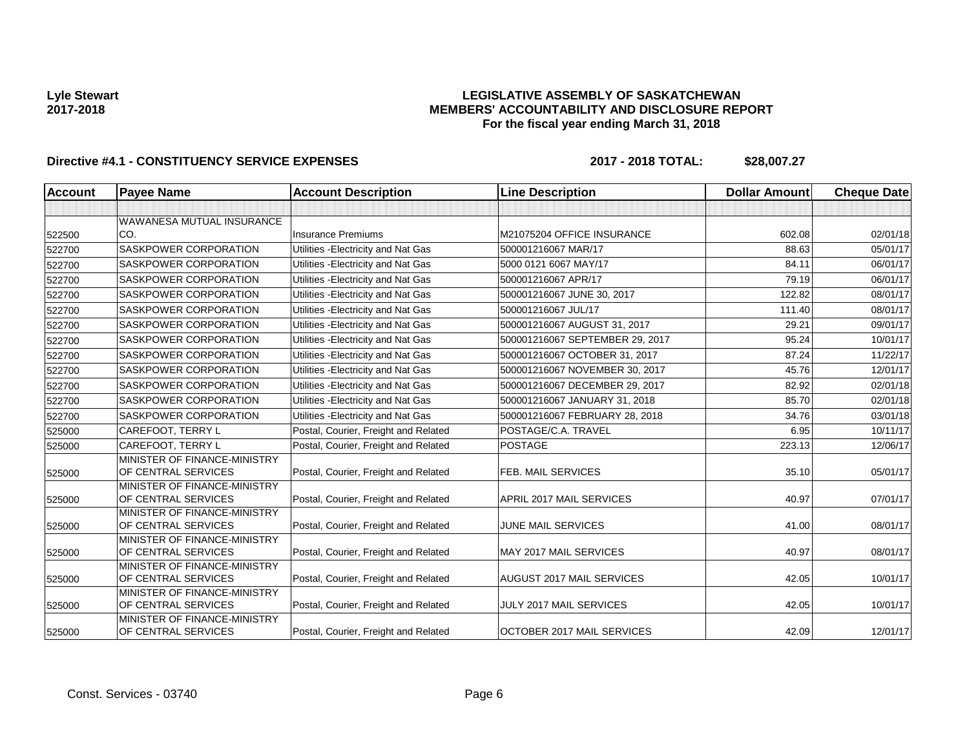## **LEGISLATIVE ASSEMBLY OF SASKATCHEWAN MEMBERS' ACCOUNTABILITY AND DISCLOSURE REPORT For the fiscal year ending March 31, 2018**

| <b>Account</b> | <b>Payee Name</b>                                   | <b>Account Description</b>           | <b>Line Description</b>           | <b>Dollar Amount</b> | <b>Cheque Date</b> |
|----------------|-----------------------------------------------------|--------------------------------------|-----------------------------------|----------------------|--------------------|
|                |                                                     |                                      |                                   |                      |                    |
|                | <b>WAWANESA MUTUAL INSURANCE</b>                    |                                      |                                   |                      |                    |
| 522500         | ICO.                                                | <b>Insurance Premiums</b>            | M21075204 OFFICE INSURANCE        | 602.08               | 02/01/18           |
| 522700         | SASKPOWER CORPORATION                               | Utilities - Electricity and Nat Gas  | 500001216067 MAR/17               | 88.63                | 05/01/17           |
| 522700         | <b>SASKPOWER CORPORATION</b>                        | Utilities - Electricity and Nat Gas  | 5000 0121 6067 MAY/17             | 84.11                | 06/01/17           |
| 522700         | SASKPOWER CORPORATION                               | Utilities - Electricity and Nat Gas  | 500001216067 APR/17               | 79.19                | 06/01/17           |
| 522700         | SASKPOWER CORPORATION                               | Utilities - Electricity and Nat Gas  | 500001216067 JUNE 30, 2017        | 122.82               | 08/01/17           |
| 522700         | SASKPOWER CORPORATION                               | Utilities - Electricity and Nat Gas  | 500001216067 JUL/17               | 111.40               | 08/01/17           |
| 522700         | SASKPOWER CORPORATION                               | Utilities - Electricity and Nat Gas  | 500001216067 AUGUST 31, 2017      | 29.21                | 09/01/17           |
| 522700         | <b>SASKPOWER CORPORATION</b>                        | Utilities - Electricity and Nat Gas  | 500001216067 SEPTEMBER 29, 2017   | 95.24                | 10/01/17           |
| 522700         | <b>SASKPOWER CORPORATION</b>                        | Utilities - Electricity and Nat Gas  | 500001216067 OCTOBER 31, 2017     | 87.24                | 11/22/17           |
| 522700         | <b>SASKPOWER CORPORATION</b>                        | Utilities - Electricity and Nat Gas  | 500001216067 NOVEMBER 30, 2017    | 45.76                | 12/01/17           |
| 522700         | <b>SASKPOWER CORPORATION</b>                        | Utilities - Electricity and Nat Gas  | 500001216067 DECEMBER 29, 2017    | 82.92                | 02/01/18           |
| 522700         | <b>SASKPOWER CORPORATION</b>                        | Utilities - Electricity and Nat Gas  | 500001216067 JANUARY 31, 2018     | 85.70                | 02/01/18           |
| 522700         | <b>SASKPOWER CORPORATION</b>                        | Utilities - Electricity and Nat Gas  | 500001216067 FEBRUARY 28, 2018    | 34.76                | 03/01/18           |
| 525000         | <b>CAREFOOT, TERRY L</b>                            | Postal, Courier, Freight and Related | POSTAGE/C.A. TRAVEL               | 6.95                 | 10/11/17           |
| 525000         | CAREFOOT, TERRY L                                   | Postal, Courier, Freight and Related | <b>POSTAGE</b>                    | 223.13               | 12/06/17           |
| 525000         | MINISTER OF FINANCE-MINISTRY<br>OF CENTRAL SERVICES | Postal, Courier, Freight and Related | FEB. MAIL SERVICES                | 35.10                | 05/01/17           |
| 525000         | MINISTER OF FINANCE-MINISTRY<br>OF CENTRAL SERVICES | Postal, Courier, Freight and Related | APRIL 2017 MAIL SERVICES          | 40.97                | 07/01/17           |
| 525000         | MINISTER OF FINANCE-MINISTRY<br>OF CENTRAL SERVICES | Postal, Courier, Freight and Related | <b>JUNE MAIL SERVICES</b>         | 41.00                | 08/01/17           |
| 525000         | MINISTER OF FINANCE-MINISTRY<br>OF CENTRAL SERVICES | Postal, Courier, Freight and Related | MAY 2017 MAIL SERVICES            | 40.97                | 08/01/17           |
| 525000         | MINISTER OF FINANCE-MINISTRY<br>OF CENTRAL SERVICES | Postal, Courier, Freight and Related | AUGUST 2017 MAIL SERVICES         | 42.05                | 10/01/17           |
| 525000         | MINISTER OF FINANCE-MINISTRY<br>OF CENTRAL SERVICES | Postal, Courier, Freight and Related | <b>JULY 2017 MAIL SERVICES</b>    | 42.05                | 10/01/17           |
| 525000         | MINISTER OF FINANCE-MINISTRY<br>OF CENTRAL SERVICES | Postal, Courier, Freight and Related | <b>OCTOBER 2017 MAIL SERVICES</b> | 42.09                | 12/01/17           |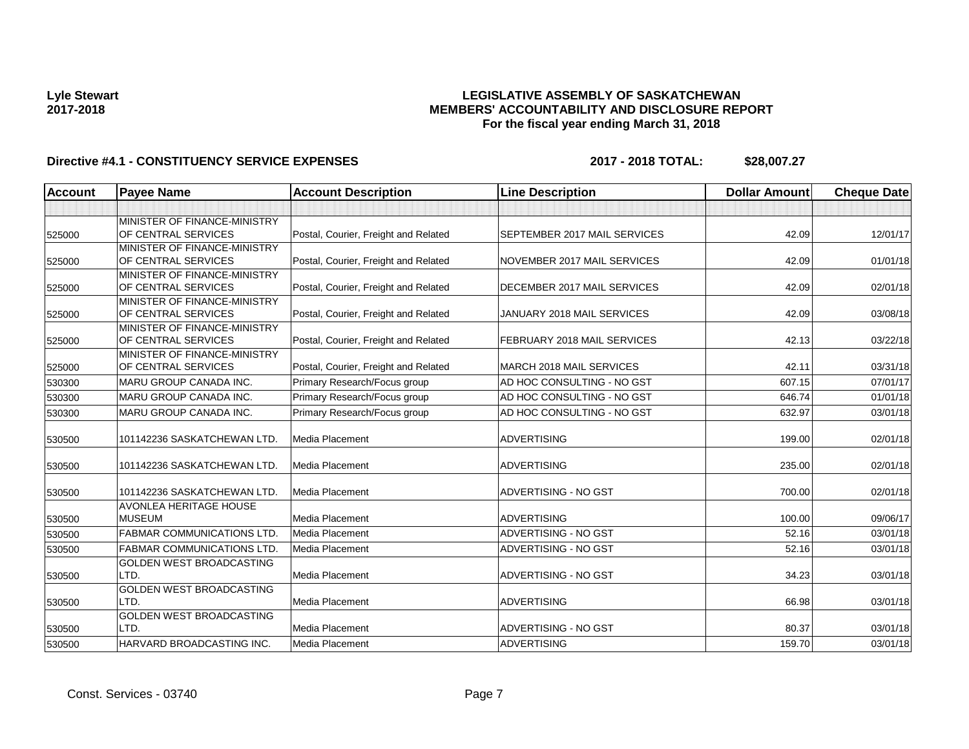## **LEGISLATIVE ASSEMBLY OF SASKATCHEWAN MEMBERS' ACCOUNTABILITY AND DISCLOSURE REPORT For the fiscal year ending March 31, 2018**

| <b>Account</b> | <b>Payee Name</b>                                   | <b>Account Description</b>           | <b>Line Description</b>      | <b>Dollar Amount</b> | <b>Cheque Date</b> |
|----------------|-----------------------------------------------------|--------------------------------------|------------------------------|----------------------|--------------------|
|                |                                                     |                                      |                              |                      |                    |
|                | MINISTER OF FINANCE-MINISTRY                        |                                      |                              |                      |                    |
| 525000         | OF CENTRAL SERVICES                                 | Postal, Courier, Freight and Related | SEPTEMBER 2017 MAIL SERVICES | 42.09                | 12/01/17           |
|                | MINISTER OF FINANCE-MINISTRY                        |                                      |                              |                      |                    |
| 525000         | OF CENTRAL SERVICES                                 | Postal, Courier, Freight and Related | NOVEMBER 2017 MAIL SERVICES  | 42.09                | 01/01/18           |
|                | MINISTER OF FINANCE-MINISTRY                        |                                      |                              |                      |                    |
| 525000         | OF CENTRAL SERVICES                                 | Postal, Courier, Freight and Related | DECEMBER 2017 MAIL SERVICES  | 42.09                | 02/01/18           |
|                | MINISTER OF FINANCE-MINISTRY                        |                                      |                              |                      |                    |
| 525000         | OF CENTRAL SERVICES                                 | Postal, Courier, Freight and Related | JANUARY 2018 MAIL SERVICES   | 42.09                | 03/08/18           |
|                | MINISTER OF FINANCE-MINISTRY                        |                                      |                              |                      |                    |
| 525000         | OF CENTRAL SERVICES                                 | Postal, Courier, Freight and Related | FEBRUARY 2018 MAIL SERVICES  | 42.13                | 03/22/18           |
|                | MINISTER OF FINANCE-MINISTRY<br>OF CENTRAL SERVICES | Postal, Courier, Freight and Related | MARCH 2018 MAIL SERVICES     | 42.11                | 03/31/18           |
| 525000         |                                                     |                                      |                              | 607.15               |                    |
| 530300         | <b>MARU GROUP CANADA INC.</b>                       | Primary Research/Focus group         | AD HOC CONSULTING - NO GST   |                      | 07/01/17           |
| 530300         | <b>MARU GROUP CANADA INC.</b>                       | Primary Research/Focus group         | AD HOC CONSULTING - NO GST   | 646.74               | 01/01/18           |
| 530300         | MARU GROUP CANADA INC.                              | Primary Research/Focus group         | AD HOC CONSULTING - NO GST   | 632.97               | 03/01/18           |
|                |                                                     |                                      |                              |                      |                    |
| 530500         | 101142236 SASKATCHEWAN LTD.                         | Media Placement                      | <b>ADVERTISING</b>           | 199.00               | 02/01/18           |
| 530500         | 101142236 SASKATCHEWAN LTD.                         | Media Placement                      | <b>ADVERTISING</b>           | 235.00               | 02/01/18           |
|                |                                                     |                                      |                              |                      |                    |
| 530500         | 101142236 SASKATCHEWAN LTD.                         | Media Placement                      | ADVERTISING - NO GST         | 700.00               | 02/01/18           |
|                | <b>AVONLEA HERITAGE HOUSE</b>                       |                                      |                              |                      |                    |
| 530500         | <b>MUSEUM</b>                                       | Media Placement                      | <b>ADVERTISING</b>           | 100.00               | 09/06/17           |
| 530500         | <b>FABMAR COMMUNICATIONS LTD.</b>                   | Media Placement                      | ADVERTISING - NO GST         | 52.16                | 03/01/18           |
| 530500         | <b>FABMAR COMMUNICATIONS LTD.</b>                   | Media Placement                      | ADVERTISING - NO GST         | 52.16                | 03/01/18           |
|                | <b>GOLDEN WEST BROADCASTING</b>                     |                                      |                              |                      |                    |
| 530500         | LTD.                                                | Media Placement                      | ADVERTISING - NO GST         | 34.23                | 03/01/18           |
|                | GOLDEN WEST BROADCASTING                            |                                      |                              |                      |                    |
| 530500         | LTD.                                                | Media Placement                      | <b>ADVERTISING</b>           | 66.98                | 03/01/18           |
|                | <b>GOLDEN WEST BROADCASTING</b>                     |                                      |                              |                      |                    |
| 530500         | LTD.                                                | Media Placement                      | ADVERTISING - NO GST         | 80.37                | 03/01/18           |
| 530500         | HARVARD BROADCASTING INC.                           | Media Placement                      | <b>ADVERTISING</b>           | 159.70               | 03/01/18           |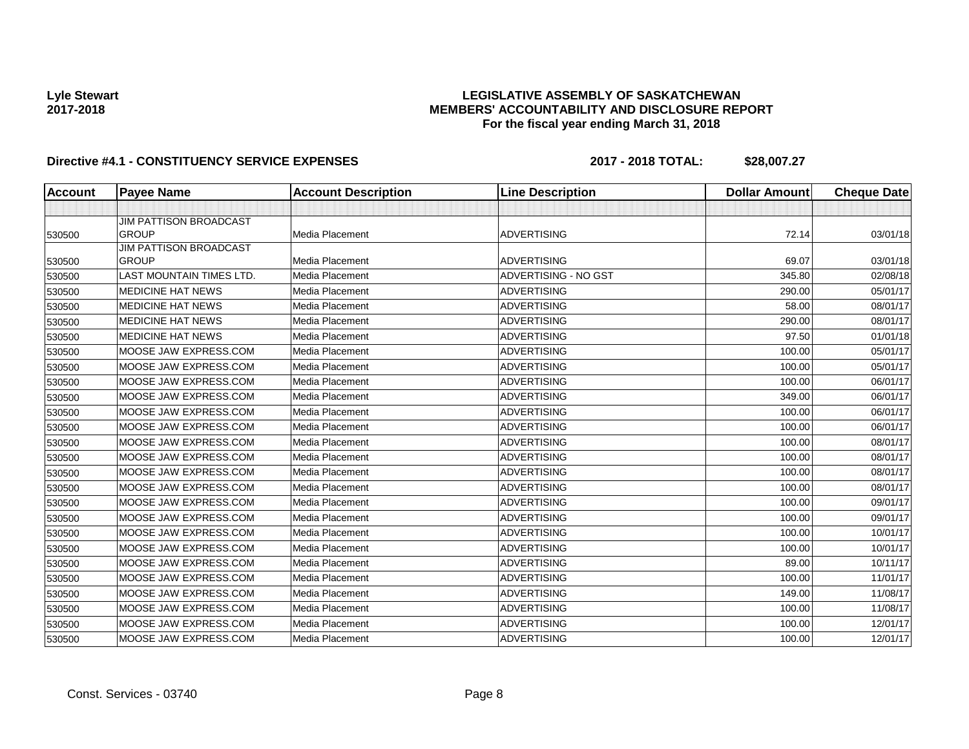## **LEGISLATIVE ASSEMBLY OF SASKATCHEWAN MEMBERS' ACCOUNTABILITY AND DISCLOSURE REPORT For the fiscal year ending March 31, 2018**

| <b>Account</b> | <b>Payee Name</b>                             | <b>Account Description</b> | <b>Line Description</b> | <b>Dollar Amount</b> | <b>Cheque Date</b> |
|----------------|-----------------------------------------------|----------------------------|-------------------------|----------------------|--------------------|
|                |                                               |                            |                         |                      |                    |
| 530500         | <b>JIM PATTISON BROADCAST</b><br><b>GROUP</b> | Media Placement            | <b>ADVERTISING</b>      | 72.14                | 03/01/18           |
|                | <b>JIM PATTISON BROADCAST</b>                 |                            |                         |                      |                    |
| 530500         | <b>GROUP</b>                                  | <b>Media Placement</b>     | <b>ADVERTISING</b>      | 69.07                | 03/01/18           |
| 530500         | <b>LAST MOUNTAIN TIMES LTD.</b>               | Media Placement            | ADVERTISING - NO GST    | 345.80               | 02/08/18           |
| 530500         | <b>MEDICINE HAT NEWS</b>                      | Media Placement            | <b>ADVERTISING</b>      | 290.00               | 05/01/17           |
| 530500         | MEDICINE HAT NEWS                             | <b>Media Placement</b>     | <b>ADVERTISING</b>      | 58.00                | 08/01/17           |
| 530500         | <b>MEDICINE HAT NEWS</b>                      | Media Placement            | <b>ADVERTISING</b>      | 290.00               | 08/01/17           |
| 530500         | <b>MEDICINE HAT NEWS</b>                      | Media Placement            | <b>ADVERTISING</b>      | 97.50                | 01/01/18           |
| 530500         | MOOSE JAW EXPRESS.COM                         | Media Placement            | <b>ADVERTISING</b>      | 100.00               | 05/01/17           |
| 530500         | MOOSE JAW EXPRESS.COM                         | Media Placement            | <b>ADVERTISING</b>      | 100.00               | 05/01/17           |
| 530500         | MOOSE JAW EXPRESS.COM                         | Media Placement            | <b>ADVERTISING</b>      | 100.00               | 06/01/17           |
| 530500         | MOOSE JAW EXPRESS.COM                         | Media Placement            | <b>ADVERTISING</b>      | 349.00               | 06/01/17           |
| 530500         | MOOSE JAW EXPRESS.COM                         | Media Placement            | <b>ADVERTISING</b>      | 100.00               | 06/01/17           |
| 530500         | MOOSE JAW EXPRESS.COM                         | Media Placement            | <b>ADVERTISING</b>      | 100.00               | 06/01/17           |
| 530500         | MOOSE JAW EXPRESS.COM                         | Media Placement            | <b>ADVERTISING</b>      | 100.00               | 08/01/17           |
| 530500         | MOOSE JAW EXPRESS.COM                         | Media Placement            | <b>ADVERTISING</b>      | 100.00               | 08/01/17           |
| 530500         | MOOSE JAW EXPRESS.COM                         | Media Placement            | <b>ADVERTISING</b>      | 100.00               | 08/01/17           |
| 530500         | MOOSE JAW EXPRESS.COM                         | Media Placement            | <b>ADVERTISING</b>      | 100.00               | 08/01/17           |
| 530500         | MOOSE JAW EXPRESS.COM                         | Media Placement            | <b>ADVERTISING</b>      | 100.00               | 09/01/17           |
| 530500         | MOOSE JAW EXPRESS.COM                         | Media Placement            | <b>ADVERTISING</b>      | 100.00               | 09/01/17           |
| 530500         | MOOSE JAW EXPRESS.COM                         | Media Placement            | <b>ADVERTISING</b>      | 100.00               | 10/01/17           |
| 530500         | MOOSE JAW EXPRESS.COM                         | Media Placement            | <b>ADVERTISING</b>      | 100.00               | 10/01/17           |
| 530500         | MOOSE JAW EXPRESS.COM                         | Media Placement            | <b>ADVERTISING</b>      | 89.00                | 10/11/17           |
| 530500         | MOOSE JAW EXPRESS.COM                         | Media Placement            | <b>ADVERTISING</b>      | 100.00               | 11/01/17           |
| 530500         | MOOSE JAW EXPRESS.COM                         | Media Placement            | <b>ADVERTISING</b>      | 149.00               | 11/08/17           |
| 530500         | MOOSE JAW EXPRESS.COM                         | Media Placement            | <b>ADVERTISING</b>      | 100.00               | 11/08/17           |
| 530500         | MOOSE JAW EXPRESS.COM                         | Media Placement            | <b>ADVERTISING</b>      | 100.00               | 12/01/17           |
| 530500         | MOOSE JAW EXPRESS.COM                         | Media Placement            | <b>ADVERTISING</b>      | 100.00               | 12/01/17           |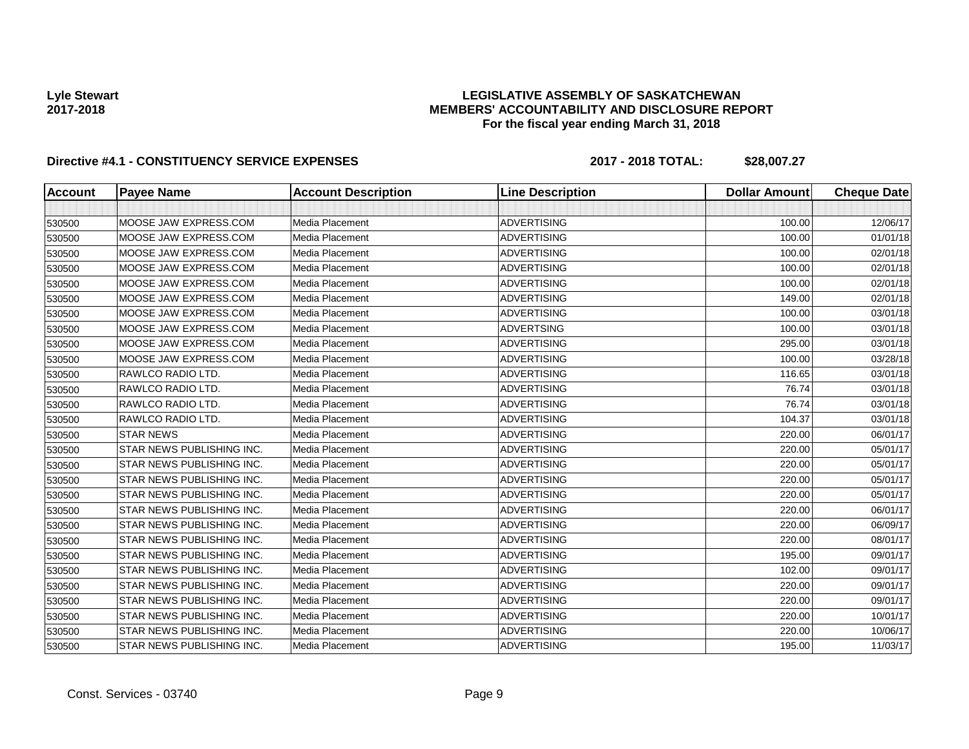## **LEGISLATIVE ASSEMBLY OF SASKATCHEWAN MEMBERS' ACCOUNTABILITY AND DISCLOSURE REPORT For the fiscal year ending March 31, 2018**

| <b>Account</b> | <b>Payee Name</b>         | <b>Account Description</b> | <b>Line Description</b> | <b>Dollar Amount</b> | <b>Cheque Date</b> |
|----------------|---------------------------|----------------------------|-------------------------|----------------------|--------------------|
|                |                           |                            |                         |                      |                    |
| 530500         | MOOSE JAW EXPRESS.COM     | Media Placement            | <b>ADVERTISING</b>      | 100.00               | 12/06/17           |
| 530500         | MOOSE JAW EXPRESS.COM     | <b>Media Placement</b>     | <b>ADVERTISING</b>      | 100.00               | 01/01/18           |
| 530500         | MOOSE JAW EXPRESS.COM     | Media Placement            | <b>ADVERTISING</b>      | 100.00               | 02/01/18           |
| 530500         | MOOSE JAW EXPRESS.COM     | Media Placement            | <b>ADVERTISING</b>      | 100.00               | 02/01/18           |
| 530500         | MOOSE JAW EXPRESS.COM     | Media Placement            | <b>ADVERTISING</b>      | 100.00               | 02/01/18           |
| 530500         | MOOSE JAW EXPRESS.COM     | Media Placement            | <b>ADVERTISING</b>      | 149.00               | 02/01/18           |
| 530500         | MOOSE JAW EXPRESS.COM     | Media Placement            | <b>ADVERTISING</b>      | 100.00               | 03/01/18           |
| 530500         | MOOSE JAW EXPRESS.COM     | Media Placement            | <b>ADVERTSING</b>       | 100.00               | 03/01/18           |
| 530500         | MOOSE JAW EXPRESS.COM     | Media Placement            | <b>ADVERTISING</b>      | 295.00               | 03/01/18           |
| 530500         | MOOSE JAW EXPRESS.COM     | Media Placement            | <b>ADVERTISING</b>      | 100.00               | 03/28/18           |
| 530500         | RAWLCO RADIO LTD.         | Media Placement            | <b>ADVERTISING</b>      | 116.65               | 03/01/18           |
| 530500         | RAWLCO RADIO LTD.         | <b>Media Placement</b>     | <b>ADVERTISING</b>      | 76.74                | 03/01/18           |
| 530500         | RAWLCO RADIO LTD.         | Media Placement            | <b>ADVERTISING</b>      | 76.74                | 03/01/18           |
| 530500         | RAWLCO RADIO LTD.         | Media Placement            | <b>ADVERTISING</b>      | 104.37               | 03/01/18           |
| 530500         | <b>STAR NEWS</b>          | Media Placement            | <b>ADVERTISING</b>      | 220.00               | 06/01/17           |
| 530500         | STAR NEWS PUBLISHING INC. | Media Placement            | <b>ADVERTISING</b>      | 220.00               | 05/01/17           |
| 530500         | STAR NEWS PUBLISHING INC. | Media Placement            | <b>ADVERTISING</b>      | 220.00               | 05/01/17           |
| 530500         | STAR NEWS PUBLISHING INC. | Media Placement            | <b>ADVERTISING</b>      | 220.00               | 05/01/17           |
| 530500         | STAR NEWS PUBLISHING INC. | Media Placement            | <b>ADVERTISING</b>      | 220.00               | 05/01/17           |
| 530500         | STAR NEWS PUBLISHING INC. | Media Placement            | <b>ADVERTISING</b>      | 220.00               | 06/01/17           |
| 530500         | STAR NEWS PUBLISHING INC. | Media Placement            | <b>ADVERTISING</b>      | 220.00               | 06/09/17           |
| 530500         | STAR NEWS PUBLISHING INC. | Media Placement            | <b>ADVERTISING</b>      | 220.00               | 08/01/17           |
| 530500         | STAR NEWS PUBLISHING INC. | Media Placement            | <b>ADVERTISING</b>      | 195.00               | 09/01/17           |
| 530500         | STAR NEWS PUBLISHING INC. | <b>Media Placement</b>     | <b>ADVERTISING</b>      | 102.00               | 09/01/17           |
| 530500         | STAR NEWS PUBLISHING INC. | Media Placement            | <b>ADVERTISING</b>      | 220.00               | 09/01/17           |
| 530500         | STAR NEWS PUBLISHING INC. | Media Placement            | <b>ADVERTISING</b>      | 220.00               | 09/01/17           |
| 530500         | STAR NEWS PUBLISHING INC. | <b>Media Placement</b>     | <b>ADVERTISING</b>      | 220.00               | 10/01/17           |
| 530500         | STAR NEWS PUBLISHING INC. | Media Placement            | <b>ADVERTISING</b>      | 220.00               | 10/06/17           |
| 530500         | STAR NEWS PUBLISHING INC. | Media Placement            | <b>ADVERTISING</b>      | 195.00               | 11/03/17           |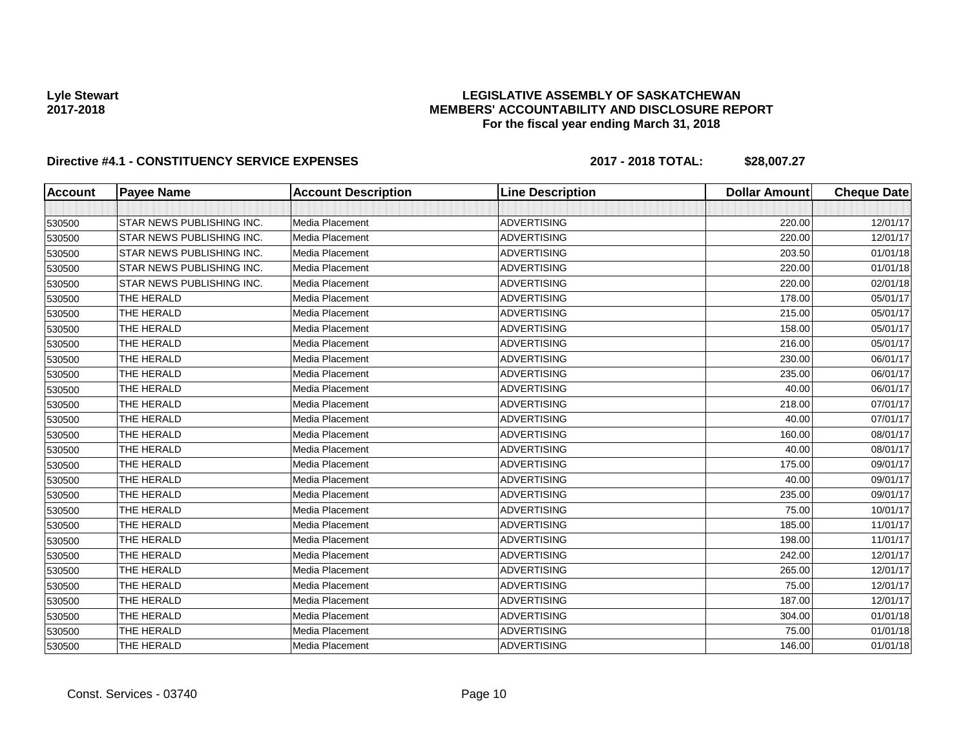## **LEGISLATIVE ASSEMBLY OF SASKATCHEWAN MEMBERS' ACCOUNTABILITY AND DISCLOSURE REPORT For the fiscal year ending March 31, 2018**

| <b>Account</b> | <b>Payee Name</b>                | <b>Account Description</b> | <b>Line Description</b> | <b>Dollar Amount</b> | <b>Cheque Date</b> |
|----------------|----------------------------------|----------------------------|-------------------------|----------------------|--------------------|
|                |                                  |                            |                         |                      |                    |
| 530500         | <b>STAR NEWS PUBLISHING INC.</b> | Media Placement            | <b>ADVERTISING</b>      | 220.00               | 12/01/17           |
| 530500         | <b>STAR NEWS PUBLISHING INC.</b> | Media Placement            | <b>ADVERTISING</b>      | 220.00               | 12/01/17           |
| 530500         | <b>STAR NEWS PUBLISHING INC.</b> | Media Placement            | <b>ADVERTISING</b>      | 203.50               | 01/01/18           |
| 530500         | STAR NEWS PUBLISHING INC.        | Media Placement            | <b>ADVERTISING</b>      | 220.00               | 01/01/18           |
| 530500         | <b>STAR NEWS PUBLISHING INC.</b> | Media Placement            | <b>ADVERTISING</b>      | 220.00               | 02/01/18           |
| 530500         | THE HERALD                       | Media Placement            | <b>ADVERTISING</b>      | 178.00               | 05/01/17           |
| 530500         | THE HERALD                       | Media Placement            | <b>ADVERTISING</b>      | 215.00               | 05/01/17           |
| 530500         | THE HERALD                       | Media Placement            | <b>ADVERTISING</b>      | 158.00               | 05/01/17           |
| 530500         | THE HERALD                       | Media Placement            | <b>ADVERTISING</b>      | 216.00               | 05/01/17           |
| 530500         | THE HERALD                       | Media Placement            | <b>ADVERTISING</b>      | 230.00               | 06/01/17           |
| 530500         | THE HERALD                       | Media Placement            | <b>ADVERTISING</b>      | 235.00               | 06/01/17           |
| 530500         | THE HERALD                       | Media Placement            | <b>ADVERTISING</b>      | 40.00                | 06/01/17           |
| 530500         | THE HERALD                       | Media Placement            | <b>ADVERTISING</b>      | 218.00               | 07/01/17           |
| 530500         | THE HERALD                       | Media Placement            | <b>ADVERTISING</b>      | 40.00                | 07/01/17           |
| 530500         | THE HERALD                       | Media Placement            | <b>ADVERTISING</b>      | 160.00               | 08/01/17           |
| 530500         | THE HERALD                       | Media Placement            | <b>ADVERTISING</b>      | 40.00                | 08/01/17           |
| 530500         | THE HERALD                       | Media Placement            | <b>ADVERTISING</b>      | 175.00               | 09/01/17           |
| 530500         | THE HERALD                       | Media Placement            | <b>ADVERTISING</b>      | 40.00                | 09/01/17           |
| 530500         | THE HERALD                       | Media Placement            | <b>ADVERTISING</b>      | 235.00               | 09/01/17           |
| 530500         | THE HERALD                       | Media Placement            | <b>ADVERTISING</b>      | 75.00                | 10/01/17           |
| 530500         | THE HERALD                       | Media Placement            | <b>ADVERTISING</b>      | 185.00               | 11/01/17           |
| 530500         | THE HERALD                       | Media Placement            | <b>ADVERTISING</b>      | 198.00               | 11/01/17           |
| 530500         | THE HERALD                       | Media Placement            | <b>ADVERTISING</b>      | 242.00               | 12/01/17           |
| 530500         | THE HERALD                       | Media Placement            | <b>ADVERTISING</b>      | 265.00               | 12/01/17           |
| 530500         | THE HERALD                       | Media Placement            | <b>ADVERTISING</b>      | 75.00                | 12/01/17           |
| 530500         | THE HERALD                       | Media Placement            | <b>ADVERTISING</b>      | 187.00               | 12/01/17           |
| 530500         | THE HERALD                       | Media Placement            | <b>ADVERTISING</b>      | 304.00               | 01/01/18           |
| 530500         | THE HERALD                       | Media Placement            | <b>ADVERTISING</b>      | 75.00                | 01/01/18           |
| 530500         | THE HERALD                       | Media Placement            | <b>ADVERTISING</b>      | 146.00               | 01/01/18           |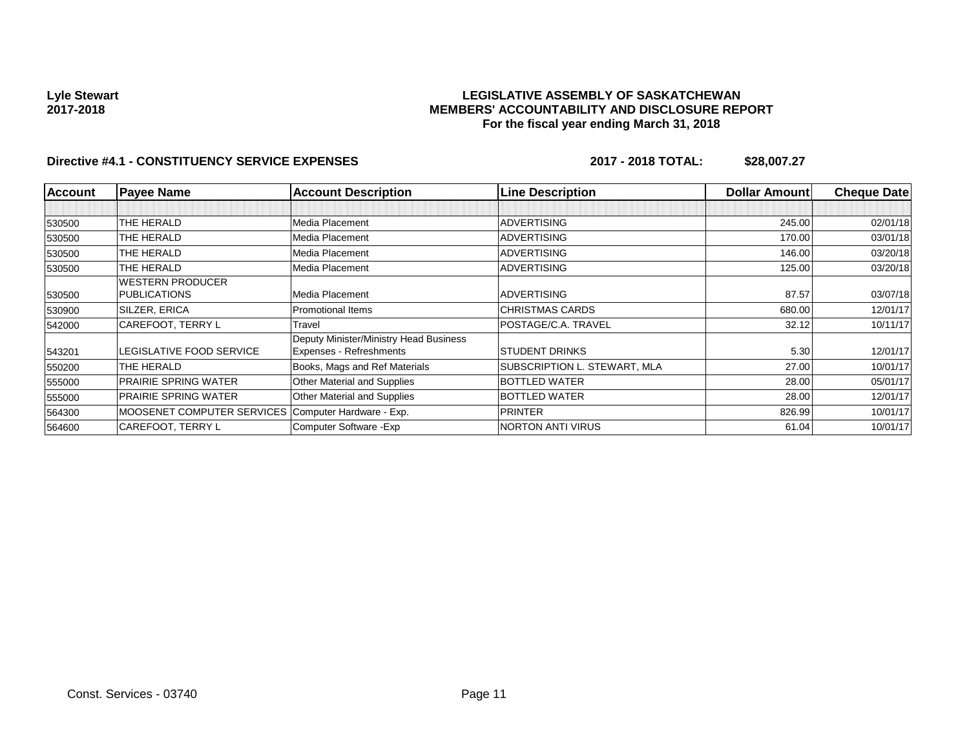## **LEGISLATIVE ASSEMBLY OF SASKATCHEWAN MEMBERS' ACCOUNTABILITY AND DISCLOSURE REPORT For the fiscal year ending March 31, 2018**

| <b>Account</b> | <b>Payee Name</b>                                   | <b>Account Description</b>                                        | <b>Line Description</b>      | <b>Dollar Amountl</b> | <b>Cheque Date</b> |
|----------------|-----------------------------------------------------|-------------------------------------------------------------------|------------------------------|-----------------------|--------------------|
|                |                                                     |                                                                   |                              |                       |                    |
| 530500         | THE HERALD                                          | Media Placement                                                   | <b>ADVERTISING</b>           | 245.00                | 02/01/18           |
| 530500         | THE HERALD                                          | Media Placement                                                   | <b>ADVERTISING</b>           | 170.00                | 03/01/18           |
| 530500         | THE HERALD                                          | Media Placement                                                   | <b>ADVERTISING</b>           | 146.00                | 03/20/18           |
| 530500         | THE HERALD                                          | Media Placement                                                   | <b>ADVERTISING</b>           | 125.00                | 03/20/18           |
|                | WESTERN PRODUCER                                    |                                                                   |                              |                       |                    |
| 530500         | <b>PUBLICATIONS</b>                                 | Media Placement                                                   | <b>ADVERTISING</b>           | 87.57                 | 03/07/18           |
| 530900         | <b>SILZER, ERICA</b>                                | <b>Promotional Items</b>                                          | <b>CHRISTMAS CARDS</b>       | 680.00                | 12/01/17           |
| 542000         | CAREFOOT, TERRY L                                   | Travel                                                            | POSTAGE/C.A. TRAVEL          | 32.12                 | 10/11/17           |
| 543201         | LEGISLATIVE FOOD SERVICE                            | Deputy Minister/Ministry Head Business<br>Expenses - Refreshments | <b>STUDENT DRINKS</b>        | 5.30                  | 12/01/17           |
| 550200         | THE HERALD                                          | Books, Mags and Ref Materials                                     | SUBSCRIPTION L. STEWART, MLA | 27.00                 | 10/01/17           |
| 555000         | <b>PRAIRIE SPRING WATER</b>                         | <b>Other Material and Supplies</b>                                | <b>BOTTLED WATER</b>         | 28.00                 | 05/01/17           |
| 555000         | <b>PRAIRIE SPRING WATER</b>                         | Other Material and Supplies                                       | <b>BOTTLED WATER</b>         | 28.00                 | 12/01/17           |
| 564300         | MOOSENET COMPUTER SERVICES Computer Hardware - Exp. |                                                                   | <b>PRINTER</b>               | 826.99                | 10/01/17           |
| 564600         | CAREFOOT, TERRY L                                   | Computer Software - Exp                                           | <b>NORTON ANTI VIRUS</b>     | 61.04                 | 10/01/17           |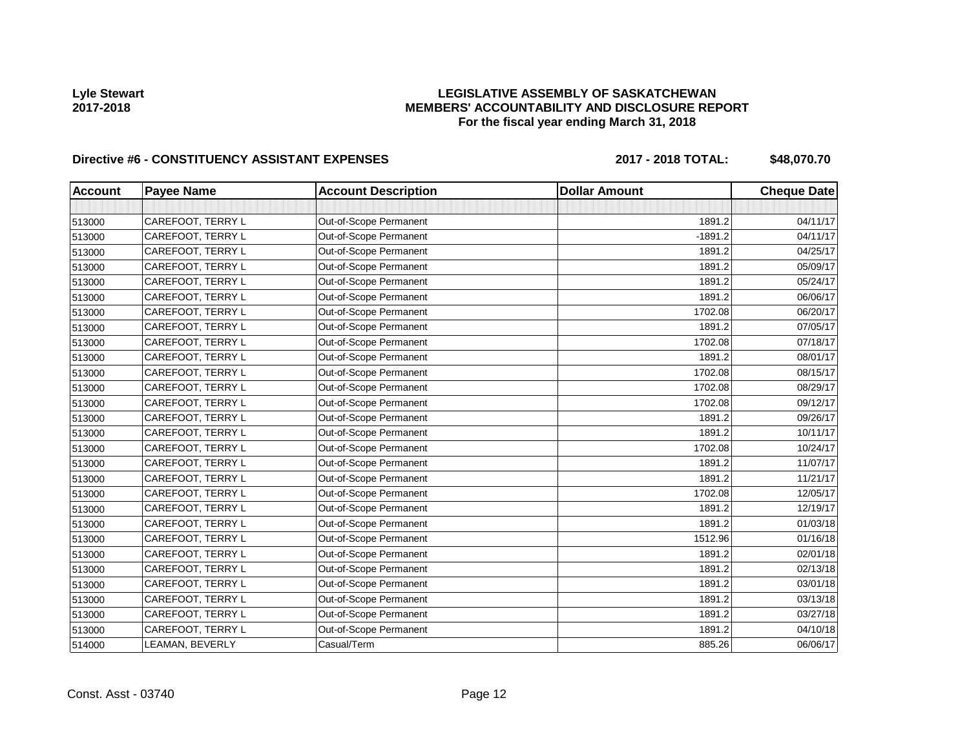## **LEGISLATIVE ASSEMBLY OF SASKATCHEWAN MEMBERS' ACCOUNTABILITY AND DISCLOSURE REPORT For the fiscal year ending March 31, 2018**

# Directive #6 - CONSTITUENCY ASSISTANT EXPENSES 2017 - 2018 TOTAL: \$48,070.70

| <b>Account</b> | <b>Payee Name</b> | <b>Account Description</b> | <b>Dollar Amount</b> | <b>Cheque Date</b> |
|----------------|-------------------|----------------------------|----------------------|--------------------|
|                |                   |                            |                      |                    |
| 513000         | CAREFOOT, TERRY L | Out-of-Scope Permanent     | 1891.2               | 04/11/17           |
| 513000         | CAREFOOT, TERRY L | Out-of-Scope Permanent     | $-1891.2$            | 04/11/17           |
| 513000         | CAREFOOT, TERRY L | Out-of-Scope Permanent     | 1891.2               | 04/25/17           |
| 513000         | CAREFOOT, TERRY L | Out-of-Scope Permanent     | 1891.2               | 05/09/17           |
| 513000         | CAREFOOT, TERRY L | Out-of-Scope Permanent     | 1891.2               | 05/24/17           |
| 513000         | CAREFOOT, TERRY L | Out-of-Scope Permanent     | 1891.2               | 06/06/17           |
| 513000         | CAREFOOT, TERRY L | Out-of-Scope Permanent     | 1702.08              | 06/20/17           |
| 513000         | CAREFOOT, TERRY L | Out-of-Scope Permanent     | 1891.2               | 07/05/17           |
| 513000         | CAREFOOT, TERRY L | Out-of-Scope Permanent     | 1702.08              | 07/18/17           |
| 513000         | CAREFOOT, TERRY L | Out-of-Scope Permanent     | 1891.2               | 08/01/17           |
| 513000         | CAREFOOT, TERRY L | Out-of-Scope Permanent     | 1702.08              | 08/15/17           |
| 513000         | CAREFOOT, TERRY L | Out-of-Scope Permanent     | 1702.08              | 08/29/17           |
| 513000         | CAREFOOT, TERRY L | Out-of-Scope Permanent     | 1702.08              | 09/12/17           |
| 513000         | CAREFOOT, TERRY L | Out-of-Scope Permanent     | 1891.2               | 09/26/17           |
| 513000         | CAREFOOT, TERRY L | Out-of-Scope Permanent     | 1891.2               | 10/11/17           |
| 513000         | CAREFOOT, TERRY L | Out-of-Scope Permanent     | 1702.08              | 10/24/17           |
| 513000         | CAREFOOT, TERRY L | Out-of-Scope Permanent     | 1891.2               | 11/07/17           |
| 513000         | CAREFOOT, TERRY L | Out-of-Scope Permanent     | 1891.2               | 11/21/17           |
| 513000         | CAREFOOT, TERRY L | Out-of-Scope Permanent     | 1702.08              | 12/05/17           |
| 513000         | CAREFOOT, TERRY L | Out-of-Scope Permanent     | 1891.2               | 12/19/17           |
| 513000         | CAREFOOT, TERRY L | Out-of-Scope Permanent     | 1891.2               | 01/03/18           |
| 513000         | CAREFOOT, TERRY L | Out-of-Scope Permanent     | 1512.96              | 01/16/18           |
| 513000         | CAREFOOT, TERRY L | Out-of-Scope Permanent     | 1891.2               | 02/01/18           |
| 513000         | CAREFOOT, TERRY L | Out-of-Scope Permanent     | 1891.2               | 02/13/18           |
| 513000         | CAREFOOT, TERRY L | Out-of-Scope Permanent     | 1891.2               | 03/01/18           |
| 513000         | CAREFOOT, TERRY L | Out-of-Scope Permanent     | 1891.2               | 03/13/18           |
| 513000         | CAREFOOT, TERRY L | Out-of-Scope Permanent     | 1891.2               | 03/27/18           |
| 513000         | CAREFOOT, TERRY L | Out-of-Scope Permanent     | 1891.2               | 04/10/18           |
| 514000         | LEAMAN, BEVERLY   | Casual/Term                | 885.26               | 06/06/17           |